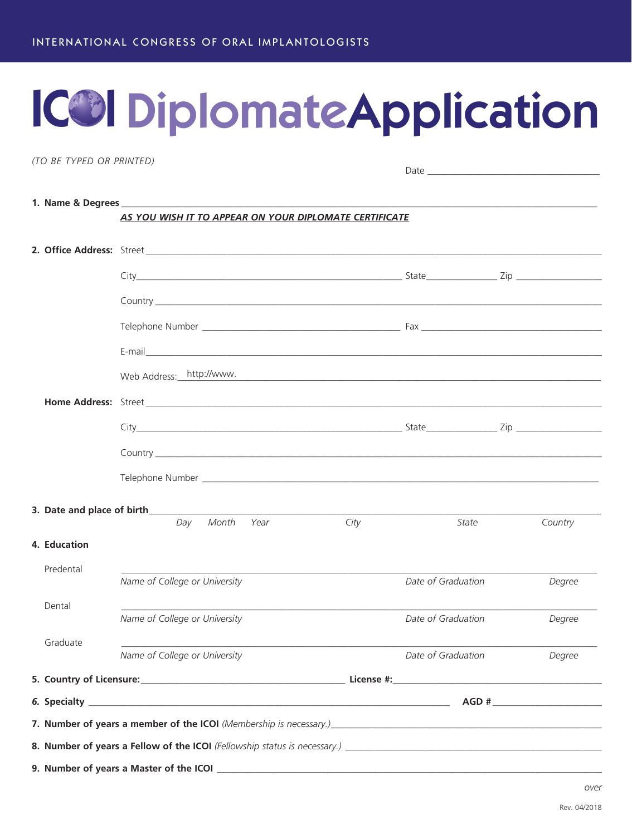# **ICO Diplomate Application**

(TO BE TYPED OR PRINTED)

|              | AS YOU WISH IT TO APPEAR ON YOUR DIPLOMATE CERTIFICATE                                                                                                                                                                        |      |                    |         |
|--------------|-------------------------------------------------------------------------------------------------------------------------------------------------------------------------------------------------------------------------------|------|--------------------|---------|
|              |                                                                                                                                                                                                                               |      |                    |         |
|              |                                                                                                                                                                                                                               |      |                    |         |
|              |                                                                                                                                                                                                                               |      |                    |         |
|              | Telephone Number et al. 2008. The contract of the contract of the contract of the contract of the contract of the contract of the contract of the contract of the contract of the contract of the contract of the contract of |      |                    |         |
|              |                                                                                                                                                                                                                               |      |                    |         |
|              | Web Address: http://www.                                                                                                                                                                                                      |      |                    |         |
|              | <b>Home Address:</b> Street <b>Example 2008</b>                                                                                                                                                                               |      |                    |         |
|              |                                                                                                                                                                                                                               |      |                    |         |
|              |                                                                                                                                                                                                                               |      |                    |         |
|              |                                                                                                                                                                                                                               |      |                    |         |
|              |                                                                                                                                                                                                                               |      |                    |         |
|              | Month<br>Day<br>Year                                                                                                                                                                                                          | City | State              | Country |
| 4. Education |                                                                                                                                                                                                                               |      |                    |         |
| Predental    | Name of College or University                                                                                                                                                                                                 |      | Date of Graduation | Degree  |
| Dental       |                                                                                                                                                                                                                               |      |                    |         |
|              | Name of College or University                                                                                                                                                                                                 |      | Date of Graduation | Degree  |
| Graduate     | Name of College or University                                                                                                                                                                                                 |      | Date of Graduation | Degree  |
|              |                                                                                                                                                                                                                               |      |                    |         |
|              |                                                                                                                                                                                                                               |      |                    |         |
|              |                                                                                                                                                                                                                               |      |                    |         |
|              |                                                                                                                                                                                                                               |      |                    |         |
|              |                                                                                                                                                                                                                               |      |                    |         |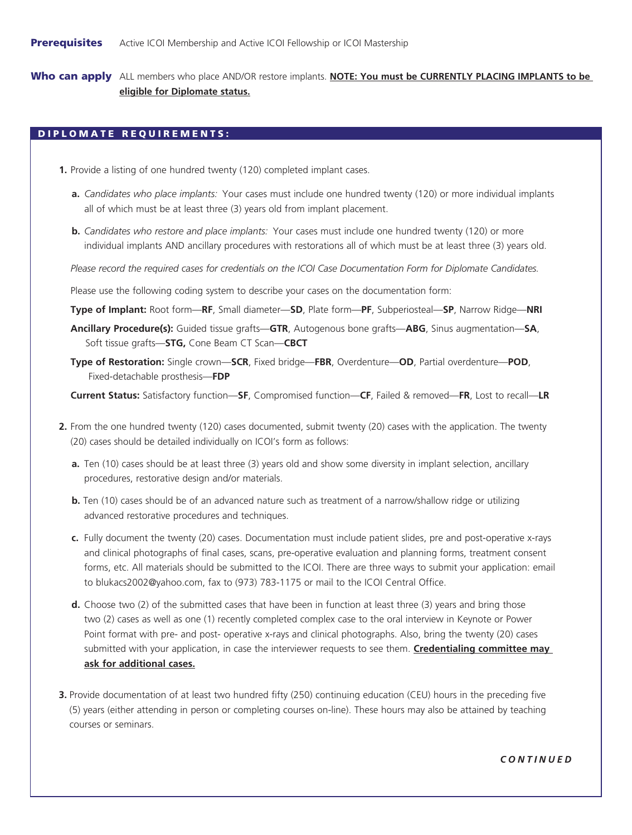Who can apply ALL members who place AND/OR restore implants. **NOTE: You must be CURRENTLY PLACING IMPLANTS to be eligible for Diplomate status.**

## DIPLOMATE REQUIREMENTS:

- **1.** Provide a listing of one hundred twenty (120) completed implant cases.
	- **a.** *Candidates who place implants:* Your cases must include one hundred twenty (120) or more individual implants all of which must be at least three (3) years old from implant placement.
	- **b.** *Candidates who restore and place implants:* Your cases must include one hundred twenty (120) or more individual implants AND ancillary procedures with restorations all of which must be at least three (3) years old.

*Please record the required cases for credentials on the ICOI Case Documentation Form for Diplomate Candidates.*

Please use the following coding system to describe your cases on the documentation form:

- **Type of Implant:** Root form—**RF**, Small diameter—**SD**, Plate form—**PF**, Subperiosteal—**SP**, Narrow Ridge—**NRI**
- **Ancillary Procedure(s):** Guided tissue grafts—**GTR**, Autogenous bone grafts—**ABG**, Sinus augmentation—**SA**, Soft tissue grafts—**STG,** Cone Beam CT Scan—**CBCT**
- **Type of Restoration:** Single crown—**SCR**, Fixed bridge—**FBR**, Overdenture—**OD**, Partial overdenture—**POD**, Fixed-detachable prosthesis—**FDP**

**Current Status:** Satisfactory function—**SF**, Compromised function—**CF**, Failed & removed—**FR**, Lost to recall—**LR**

- **2.** From the one hundred twenty (120) cases documented, submit twenty (20) cases with the application. The twenty (20) cases should be detailed individually on ICOI's form as follows:
	- **a.** Ten (10) cases should be at least three (3) years old and show some diversity in implant selection, ancillary procedures, restorative design and/or materials.
	- **b.** Ten (10) cases should be of an advanced nature such as treatment of a narrow/shallow ridge or utilizing advanced restorative procedures and techniques.
	- **c.** Fully document the twenty (20) cases. Documentation must include patient slides, pre and post-operative x-rays and clinical photographs of final cases, scans, pre-operative evaluation and planning forms, treatment consent forms, etc. All materials should be submitted to the ICOI. There are three ways to submit your application: email to [blukacs2002@yahoo.com,](mailto:blukacs2002@yahoo.com) fax to (973) 783-1175 or mail to the ICOI Central Office.
	- **d.** Choose two (2) of the submitted cases that have been in function at least three (3) years and bring those two (2) cases as well as one (1) recently completed complex case to the oral interview in Keynote or Power Point format with pre- and post- operative x-rays and clinical photographs. Also, bring the twenty (20) cases submitted with your application, in case the interviewer requests to see them. **Credentialing committee may ask for additional cases.**
- **3.** Provide documentation of at least two hundred fifty (250) continuing education (CEU) hours in the preceding five (5) years (either attending in person or completing courses on-line). These hours may also be attained by teaching courses or seminars.

*CONTINUED*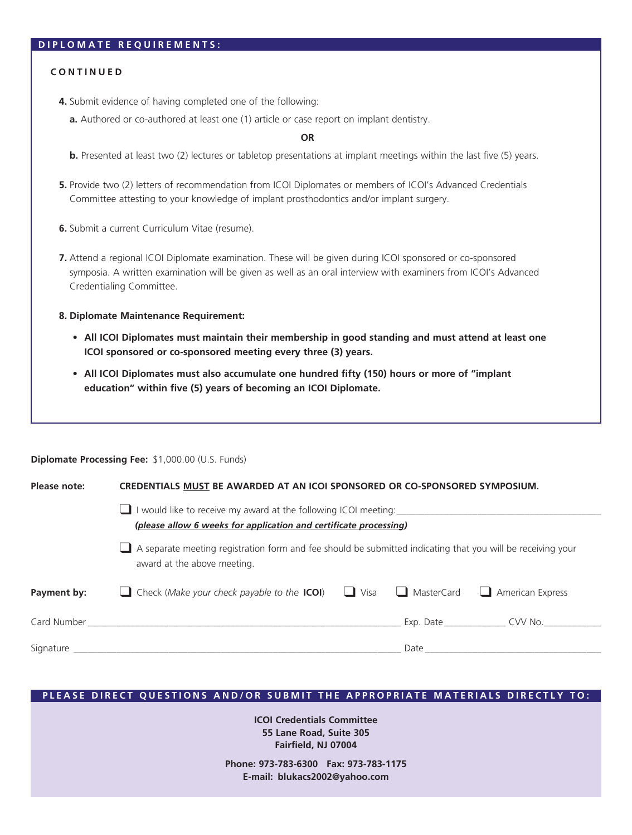#### **DIPLOMATE REQUIREMENTS:**

#### **CONTINUED**

- **4.** Submit evidence of having completed one of the following:
	- **a.** Authored or co-authored at least one (1) article or case report on implant dentistry.

**OR**

- **b.** Presented at least two (2) lectures or tabletop presentations at implant meetings within the last five (5) years.
- **5.** Provide two (2) letters of recommendation from ICOI Diplomates or members of ICOI's Advanced Credentials Committee attesting to your knowledge of implant prosthodontics and/or implant surgery.
- **6.** Submit a current Curriculum Vitae (resume).
- **7.** Attend a regional ICOI Diplomate examination. These will be given during ICOI sponsored or co-sponsored symposia. A written examination will be given as well as an oral interview with examiners from ICOI's Advanced Credentialing Committee.

#### **8. Diplomate Maintenance Requirement:**

**Diplomate Processing Fee:** \$1,000.00 (U.S. Funds)

- **• All ICOI Diplomates must maintain their membership in good standing and must attend at least one ICOI sponsored or co-sponsored meeting every three (3) years.**
- **• All ICOI Diplomates must also accumulate one hundred fifty (150) hours or more of "implant education" within five (5) years of becoming an ICOI Diplomate.**

| Please note: | CREDENTIALS MUST BE AWARDED AT AN ICOI SPONSORED OR CO-SPONSORED SYMPOSIUM.                                                                                                                                                                                                             |  |  |                   |  |  |  |  |  |  |  |
|--------------|-----------------------------------------------------------------------------------------------------------------------------------------------------------------------------------------------------------------------------------------------------------------------------------------|--|--|-------------------|--|--|--|--|--|--|--|
|              | I would like to receive my award at the following ICOI meeting:<br>(please allow 6 weeks for application and certificate processing)<br>A separate meeting registration form and fee should be submitted indicating that you will be receiving your<br>∟<br>award at the above meeting. |  |  |                   |  |  |  |  |  |  |  |
|              |                                                                                                                                                                                                                                                                                         |  |  |                   |  |  |  |  |  |  |  |
| Payment by:  | <b>Check</b> (Make your check payable to the <b>ICOI</b> ) $\Box$ Visa $\Box$ MasterCard $\Box$ American Express<br>$\Box$                                                                                                                                                              |  |  |                   |  |  |  |  |  |  |  |
|              |                                                                                                                                                                                                                                                                                         |  |  | Exp. Date CVV No. |  |  |  |  |  |  |  |
|              |                                                                                                                                                                                                                                                                                         |  |  |                   |  |  |  |  |  |  |  |

### **PLEASE DIRECT QUESTIONS AND/OR SUBMIT THE APPROPRIATE MATERIALS DIRECTLY TO:**

**ICOI Credentials Committee 55 Lane Road, Suite 305 Fairfield, NJ 07004**

**Phone: 973-783-6300 Fax: 973-783-1175 E-mail: [blukacs2002@yahoo.com](mailto:blukacs2002@yahoo.com)**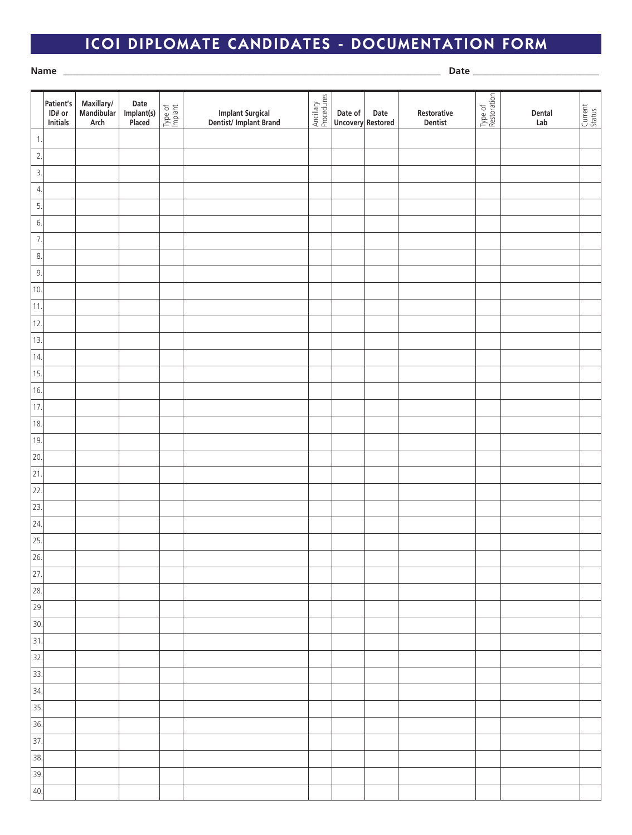# ICOI DIPLOMATE CANDIDATES - DOCUMENTATION FORM

**Name** \_\_\_\_\_\_\_\_\_\_\_\_\_\_\_\_\_\_\_\_\_\_\_\_\_\_\_\_\_\_\_\_\_\_\_\_\_\_\_\_\_\_\_\_\_\_\_\_\_\_\_\_\_\_\_\_\_\_\_\_\_\_\_\_\_\_\_\_\_\_\_\_\_\_\_\_\_\_\_\_\_ **Date** \_\_\_\_\_\_\_\_\_\_\_\_\_\_\_\_\_\_\_\_\_\_\_\_\_\_\_

|                   | Patient's<br>ID# or<br>Initials | Maxillary/<br>Mandibular<br>Arch | Date<br>Implant(s)<br>Placed | Type of<br>Implant | Implant Surgical<br>Dentist/Implant Brand | Ancillary<br>Procedures | Date of<br><b>Uncovery Restored</b> | Date | Restorative<br>Dentist | Type of<br>Restoration | Dental<br>Lab | Current<br>Status |
|-------------------|---------------------------------|----------------------------------|------------------------------|--------------------|-------------------------------------------|-------------------------|-------------------------------------|------|------------------------|------------------------|---------------|-------------------|
| $\mathbf{1}$ .    |                                 |                                  |                              |                    |                                           |                         |                                     |      |                        |                        |               |                   |
| $\overline{2}$ .  |                                 |                                  |                              |                    |                                           |                         |                                     |      |                        |                        |               |                   |
| $\overline{3}$ .  |                                 |                                  |                              |                    |                                           |                         |                                     |      |                        |                        |               |                   |
| $\overline{4}$ .  |                                 |                                  |                              |                    |                                           |                         |                                     |      |                        |                        |               |                   |
| 5.                |                                 |                                  |                              |                    |                                           |                         |                                     |      |                        |                        |               |                   |
| 6.                |                                 |                                  |                              |                    |                                           |                         |                                     |      |                        |                        |               |                   |
| $\overline{7}$ .  |                                 |                                  |                              |                    |                                           |                         |                                     |      |                        |                        |               |                   |
| 8.                |                                 |                                  |                              |                    |                                           |                         |                                     |      |                        |                        |               |                   |
| 9.                |                                 |                                  |                              |                    |                                           |                         |                                     |      |                        |                        |               |                   |
| 10.               |                                 |                                  |                              |                    |                                           |                         |                                     |      |                        |                        |               |                   |
| 11.               |                                 |                                  |                              |                    |                                           |                         |                                     |      |                        |                        |               |                   |
| 12.               |                                 |                                  |                              |                    |                                           |                         |                                     |      |                        |                        |               |                   |
| 13.               |                                 |                                  |                              |                    |                                           |                         |                                     |      |                        |                        |               |                   |
| 14.               |                                 |                                  |                              |                    |                                           |                         |                                     |      |                        |                        |               |                   |
| 15.               |                                 |                                  |                              |                    |                                           |                         |                                     |      |                        |                        |               |                   |
| 16.               |                                 |                                  |                              |                    |                                           |                         |                                     |      |                        |                        |               |                   |
| 17.               |                                 |                                  |                              |                    |                                           |                         |                                     |      |                        |                        |               |                   |
| 18.               |                                 |                                  |                              |                    |                                           |                         |                                     |      |                        |                        |               |                   |
| 19.               |                                 |                                  |                              |                    |                                           |                         |                                     |      |                        |                        |               |                   |
| 20.               |                                 |                                  |                              |                    |                                           |                         |                                     |      |                        |                        |               |                   |
| $\overline{21}$   |                                 |                                  |                              |                    |                                           |                         |                                     |      |                        |                        |               |                   |
| 22.               |                                 |                                  |                              |                    |                                           |                         |                                     |      |                        |                        |               |                   |
| $\overline{23}$ . |                                 |                                  |                              |                    |                                           |                         |                                     |      |                        |                        |               |                   |
| $\overline{24}$ . |                                 |                                  |                              |                    |                                           |                         |                                     |      |                        |                        |               |                   |
| 25.               |                                 |                                  |                              |                    |                                           |                         |                                     |      |                        |                        |               |                   |
| 26.               |                                 |                                  |                              |                    |                                           |                         |                                     |      |                        |                        |               |                   |
| $\overline{27}$ . |                                 |                                  |                              |                    |                                           |                         |                                     |      |                        |                        |               |                   |
| $\overline{28}$ . |                                 |                                  |                              |                    |                                           |                         |                                     |      |                        |                        |               |                   |
| $\overline{29}$ . |                                 |                                  |                              |                    |                                           |                         |                                     |      |                        |                        |               |                   |
| $\overline{30}$ . |                                 |                                  |                              |                    |                                           |                         |                                     |      |                        |                        |               |                   |
| $\overline{31}$   |                                 |                                  |                              |                    |                                           |                         |                                     |      |                        |                        |               |                   |
| $\overline{32}$ . |                                 |                                  |                              |                    |                                           |                         |                                     |      |                        |                        |               |                   |
| 33.               |                                 |                                  |                              |                    |                                           |                         |                                     |      |                        |                        |               |                   |
| $\overline{34}$ . |                                 |                                  |                              |                    |                                           |                         |                                     |      |                        |                        |               |                   |
| $\overline{35}$   |                                 |                                  |                              |                    |                                           |                         |                                     |      |                        |                        |               |                   |
| $\overline{36}$ . |                                 |                                  |                              |                    |                                           |                         |                                     |      |                        |                        |               |                   |
| $\overline{37}$ . |                                 |                                  |                              |                    |                                           |                         |                                     |      |                        |                        |               |                   |
| $\frac{1}{38}$    |                                 |                                  |                              |                    |                                           |                         |                                     |      |                        |                        |               |                   |
| $\overline{39}$ . |                                 |                                  |                              |                    |                                           |                         |                                     |      |                        |                        |               |                   |
| 40.               |                                 |                                  |                              |                    |                                           |                         |                                     |      |                        |                        |               |                   |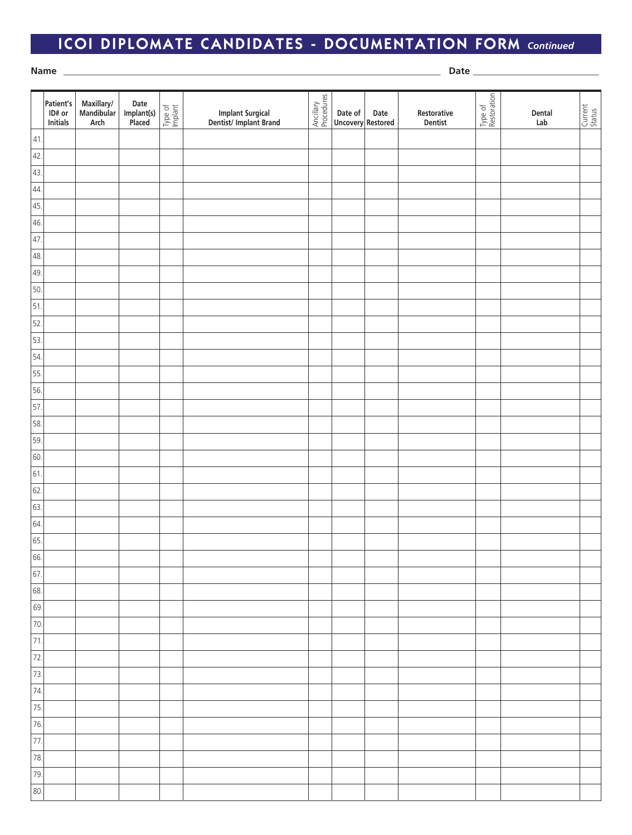## ICOI DIPLOMATE CANDIDATES - DOCUMENTATION FORM *Continued*

**Name** \_\_\_\_\_\_\_\_\_\_\_\_\_\_\_\_\_\_\_\_\_\_\_\_\_\_\_\_\_\_\_\_\_\_\_\_\_\_\_\_\_\_\_\_\_\_\_\_\_\_\_\_\_\_\_\_\_\_\_\_\_\_\_\_\_\_\_\_\_\_\_\_\_\_\_\_\_\_\_\_\_ **Date** \_\_\_\_\_\_\_\_\_\_\_\_\_\_\_\_\_\_\_\_\_\_\_\_\_\_\_

|                   | Patient's<br>ID# or<br><b>Initials</b> | Maxillary/<br>Mandibular<br>Arch | Date<br>Implant(s)<br>Placed | Type of<br>Implant | Implant Surgical<br>Dentist/Implant Brand | Ancillary<br>Procedures | Date of<br>Uncovery Restored | Date | Restorative<br>Dentist | Type of<br>Restoration | Dental<br>Lab | Current<br>Status |
|-------------------|----------------------------------------|----------------------------------|------------------------------|--------------------|-------------------------------------------|-------------------------|------------------------------|------|------------------------|------------------------|---------------|-------------------|
| 41                |                                        |                                  |                              |                    |                                           |                         |                              |      |                        |                        |               |                   |
| 42.               |                                        |                                  |                              |                    |                                           |                         |                              |      |                        |                        |               |                   |
| 43.               |                                        |                                  |                              |                    |                                           |                         |                              |      |                        |                        |               |                   |
| 44.               |                                        |                                  |                              |                    |                                           |                         |                              |      |                        |                        |               |                   |
| 45.               |                                        |                                  |                              |                    |                                           |                         |                              |      |                        |                        |               |                   |
| 46.               |                                        |                                  |                              |                    |                                           |                         |                              |      |                        |                        |               |                   |
| 47.               |                                        |                                  |                              |                    |                                           |                         |                              |      |                        |                        |               |                   |
| 48.               |                                        |                                  |                              |                    |                                           |                         |                              |      |                        |                        |               |                   |
| 49.               |                                        |                                  |                              |                    |                                           |                         |                              |      |                        |                        |               |                   |
| 50.               |                                        |                                  |                              |                    |                                           |                         |                              |      |                        |                        |               |                   |
| 51.               |                                        |                                  |                              |                    |                                           |                         |                              |      |                        |                        |               |                   |
| 52.               |                                        |                                  |                              |                    |                                           |                         |                              |      |                        |                        |               |                   |
| 53.               |                                        |                                  |                              |                    |                                           |                         |                              |      |                        |                        |               |                   |
| 54.               |                                        |                                  |                              |                    |                                           |                         |                              |      |                        |                        |               |                   |
| 55.               |                                        |                                  |                              |                    |                                           |                         |                              |      |                        |                        |               |                   |
| 56.               |                                        |                                  |                              |                    |                                           |                         |                              |      |                        |                        |               |                   |
| 57.               |                                        |                                  |                              |                    |                                           |                         |                              |      |                        |                        |               |                   |
| 58.               |                                        |                                  |                              |                    |                                           |                         |                              |      |                        |                        |               |                   |
| 59.               |                                        |                                  |                              |                    |                                           |                         |                              |      |                        |                        |               |                   |
| 60.               |                                        |                                  |                              |                    |                                           |                         |                              |      |                        |                        |               |                   |
| 61.               |                                        |                                  |                              |                    |                                           |                         |                              |      |                        |                        |               |                   |
| 62.               |                                        |                                  |                              |                    |                                           |                         |                              |      |                        |                        |               |                   |
| 63.               |                                        |                                  |                              |                    |                                           |                         |                              |      |                        |                        |               |                   |
| 64.               |                                        |                                  |                              |                    |                                           |                         |                              |      |                        |                        |               |                   |
| 65.               |                                        |                                  |                              |                    |                                           |                         |                              |      |                        |                        |               |                   |
| 66.               |                                        |                                  |                              |                    |                                           |                         |                              |      |                        |                        |               |                   |
| 67.               |                                        |                                  |                              |                    |                                           |                         |                              |      |                        |                        |               |                   |
| 68.               |                                        |                                  |                              |                    |                                           |                         |                              |      |                        |                        |               |                   |
| 69.               |                                        |                                  |                              |                    |                                           |                         |                              |      |                        |                        |               |                   |
| 70.               |                                        |                                  |                              |                    |                                           |                         |                              |      |                        |                        |               |                   |
| 71.               |                                        |                                  |                              |                    |                                           |                         |                              |      |                        |                        |               |                   |
| $\overline{72}$   |                                        |                                  |                              |                    |                                           |                         |                              |      |                        |                        |               |                   |
| 73.               |                                        |                                  |                              |                    |                                           |                         |                              |      |                        |                        |               |                   |
| $\overline{74}$ . |                                        |                                  |                              |                    |                                           |                         |                              |      |                        |                        |               |                   |
| 75.               |                                        |                                  |                              |                    |                                           |                         |                              |      |                        |                        |               |                   |
| 76.               |                                        |                                  |                              |                    |                                           |                         |                              |      |                        |                        |               |                   |
| 77.               |                                        |                                  |                              |                    |                                           |                         |                              |      |                        |                        |               |                   |
| 78.               |                                        |                                  |                              |                    |                                           |                         |                              |      |                        |                        |               |                   |
| 79.               |                                        |                                  |                              |                    |                                           |                         |                              |      |                        |                        |               |                   |
| 80.               |                                        |                                  |                              |                    |                                           |                         |                              |      |                        |                        |               |                   |